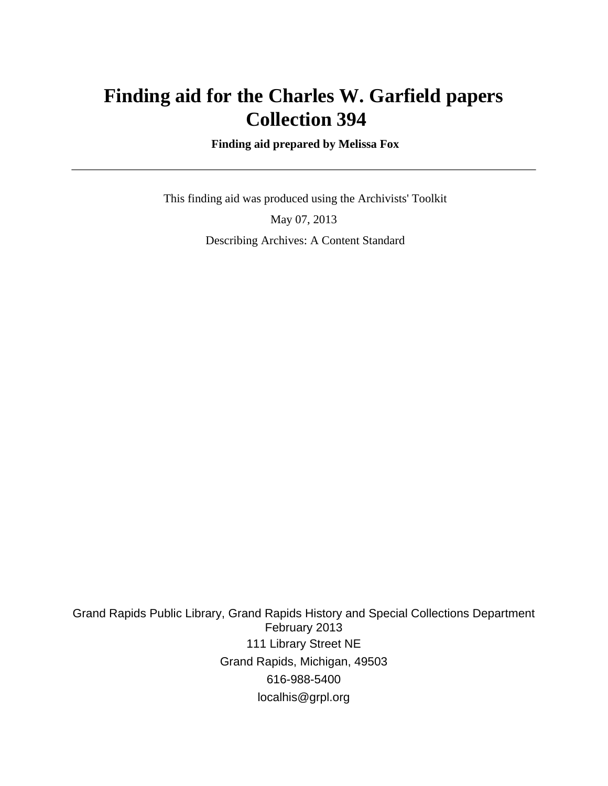## **Finding aid for the Charles W. Garfield papers Collection 394**

 **Finding aid prepared by Melissa Fox**

 This finding aid was produced using the Archivists' Toolkit May 07, 2013 Describing Archives: A Content Standard

Grand Rapids Public Library, Grand Rapids History and Special Collections Department February 2013 111 Library Street NE Grand Rapids, Michigan, 49503 616-988-5400 localhis@grpl.org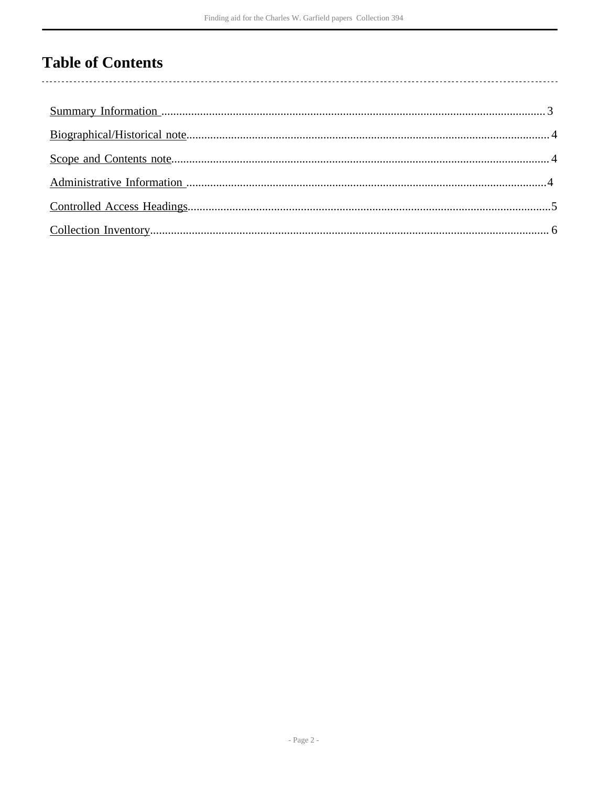## **Table of Contents**

 $\overline{\phantom{a}}$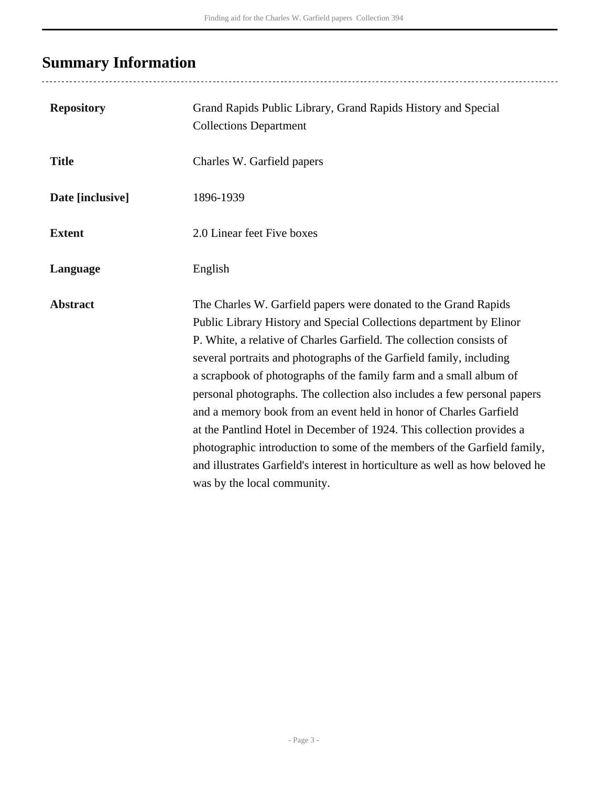# <span id="page-2-0"></span>**Summary Information**

| <b>Repository</b> | Grand Rapids Public Library, Grand Rapids History and Special<br><b>Collections Department</b>                                                                                                                                                                                                                                                                                                                                                                                                                                                                                                                                                                                                                                                                                    |
|-------------------|-----------------------------------------------------------------------------------------------------------------------------------------------------------------------------------------------------------------------------------------------------------------------------------------------------------------------------------------------------------------------------------------------------------------------------------------------------------------------------------------------------------------------------------------------------------------------------------------------------------------------------------------------------------------------------------------------------------------------------------------------------------------------------------|
| <b>Title</b>      | Charles W. Garfield papers                                                                                                                                                                                                                                                                                                                                                                                                                                                                                                                                                                                                                                                                                                                                                        |
| Date [inclusive]  | 1896-1939                                                                                                                                                                                                                                                                                                                                                                                                                                                                                                                                                                                                                                                                                                                                                                         |
| <b>Extent</b>     | 2.0 Linear feet Five boxes                                                                                                                                                                                                                                                                                                                                                                                                                                                                                                                                                                                                                                                                                                                                                        |
| Language          | English                                                                                                                                                                                                                                                                                                                                                                                                                                                                                                                                                                                                                                                                                                                                                                           |
| <b>Abstract</b>   | The Charles W. Garfield papers were donated to the Grand Rapids<br>Public Library History and Special Collections department by Elinor<br>P. White, a relative of Charles Garfield. The collection consists of<br>several portraits and photographs of the Garfield family, including<br>a scrapbook of photographs of the family farm and a small album of<br>personal photographs. The collection also includes a few personal papers<br>and a memory book from an event held in honor of Charles Garfield<br>at the Pantlind Hotel in December of 1924. This collection provides a<br>photographic introduction to some of the members of the Garfield family,<br>and illustrates Garfield's interest in horticulture as well as how beloved he<br>was by the local community. |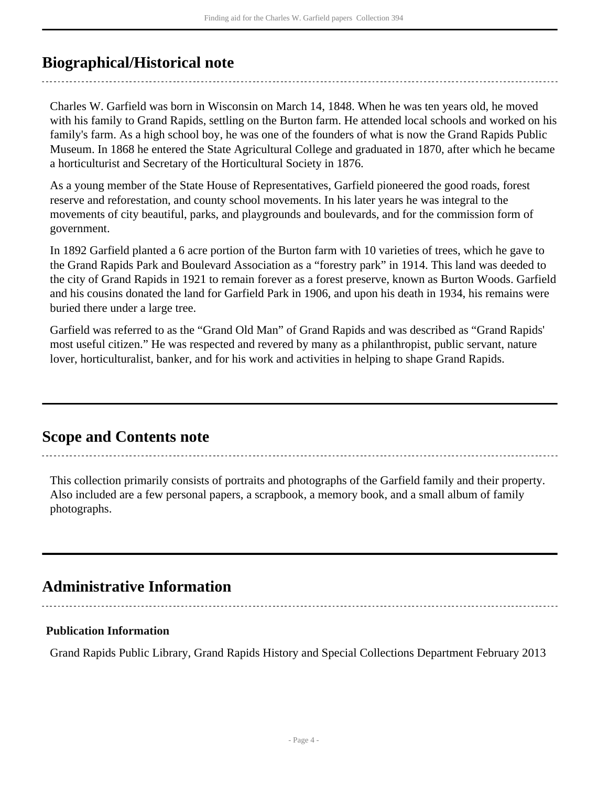### <span id="page-3-0"></span>**Biographical/Historical note**

Charles W. Garfield was born in Wisconsin on March 14, 1848. When he was ten years old, he moved with his family to Grand Rapids, settling on the Burton farm. He attended local schools and worked on his family's farm. As a high school boy, he was one of the founders of what is now the Grand Rapids Public Museum. In 1868 he entered the State Agricultural College and graduated in 1870, after which he became a horticulturist and Secretary of the Horticultural Society in 1876.

As a young member of the State House of Representatives, Garfield pioneered the good roads, forest reserve and reforestation, and county school movements. In his later years he was integral to the movements of city beautiful, parks, and playgrounds and boulevards, and for the commission form of government.

In 1892 Garfield planted a 6 acre portion of the Burton farm with 10 varieties of trees, which he gave to the Grand Rapids Park and Boulevard Association as a "forestry park" in 1914. This land was deeded to the city of Grand Rapids in 1921 to remain forever as a forest preserve, known as Burton Woods. Garfield and his cousins donated the land for Garfield Park in 1906, and upon his death in 1934, his remains were buried there under a large tree.

Garfield was referred to as the "Grand Old Man" of Grand Rapids and was described as "Grand Rapids' most useful citizen." He was respected and revered by many as a philanthropist, public servant, nature lover, horticulturalist, banker, and for his work and activities in helping to shape Grand Rapids.

### <span id="page-3-1"></span>**Scope and Contents note**

This collection primarily consists of portraits and photographs of the Garfield family and their property. Also included are a few personal papers, a scrapbook, a memory book, and a small album of family photographs.

## <span id="page-3-2"></span>**Administrative Information**

### **Publication Information**

Grand Rapids Public Library, Grand Rapids History and Special Collections Department February 2013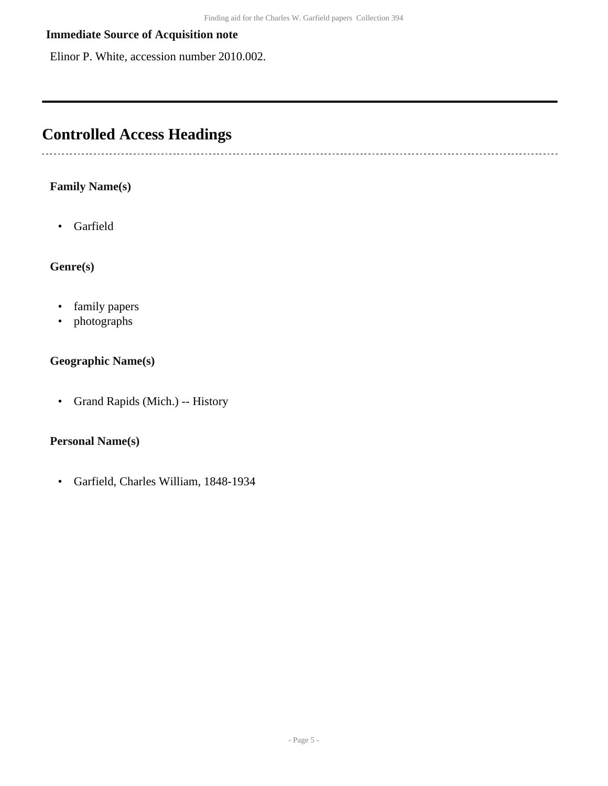#### **Immediate Source of Acquisition note**

Elinor P. White, accession number 2010.002.

## <span id="page-4-0"></span>**Controlled Access Headings**

#### **Family Name(s)**

------------------------------

• Garfield

#### **Genre(s)**

- family papers
- photographs

#### **Geographic Name(s)**

• Grand Rapids (Mich.) -- History

#### **Personal Name(s)**

• Garfield, Charles William, 1848-1934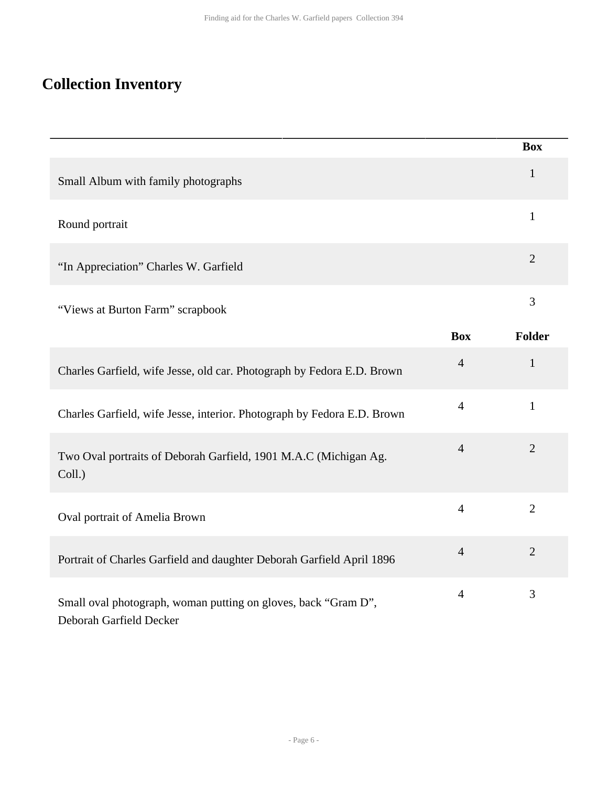# <span id="page-5-0"></span>**Collection Inventory**

|                                                                                           |                | <b>Box</b>     |
|-------------------------------------------------------------------------------------------|----------------|----------------|
| Small Album with family photographs                                                       |                | $\mathbf{1}$   |
| Round portrait                                                                            |                | $\mathbf{1}$   |
| "In Appreciation" Charles W. Garfield                                                     |                | $\overline{2}$ |
| "Views at Burton Farm" scrapbook                                                          |                | 3              |
|                                                                                           | <b>Box</b>     | <b>Folder</b>  |
| Charles Garfield, wife Jesse, old car. Photograph by Fedora E.D. Brown                    | $\overline{4}$ | $\mathbf{1}$   |
| Charles Garfield, wife Jesse, interior. Photograph by Fedora E.D. Brown                   | $\overline{4}$ | $\mathbf{1}$   |
| Two Oval portraits of Deborah Garfield, 1901 M.A.C (Michigan Ag.<br>Coll.)                | $\overline{4}$ | $\overline{2}$ |
| Oval portrait of Amelia Brown                                                             | $\overline{4}$ | $\overline{2}$ |
| Portrait of Charles Garfield and daughter Deborah Garfield April 1896                     | $\overline{4}$ | $\overline{2}$ |
| Small oval photograph, woman putting on gloves, back "Gram D",<br>Deborah Garfield Decker | $\overline{4}$ | 3              |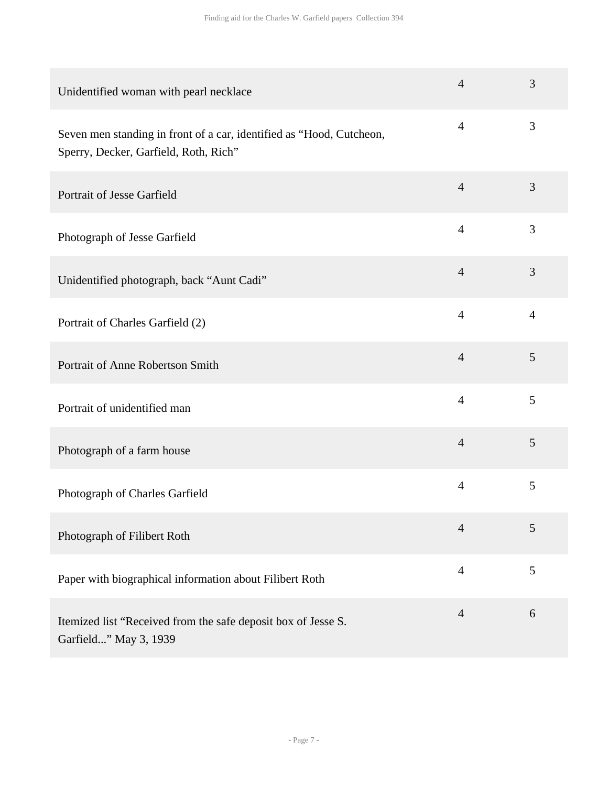| Unidentified woman with pearl necklace                                                                        | $\overline{4}$ | 3              |
|---------------------------------------------------------------------------------------------------------------|----------------|----------------|
| Seven men standing in front of a car, identified as "Hood, Cutcheon,<br>Sperry, Decker, Garfield, Roth, Rich" | $\overline{4}$ | 3              |
| Portrait of Jesse Garfield                                                                                    | $\overline{4}$ | 3              |
| Photograph of Jesse Garfield                                                                                  | $\overline{4}$ | 3              |
| Unidentified photograph, back "Aunt Cadi"                                                                     | $\overline{4}$ | 3              |
| Portrait of Charles Garfield (2)                                                                              | $\overline{4}$ | $\overline{4}$ |
| Portrait of Anne Robertson Smith                                                                              | $\overline{4}$ | 5              |
| Portrait of unidentified man                                                                                  | $\overline{4}$ | 5              |
| Photograph of a farm house                                                                                    | $\overline{4}$ | 5              |
| Photograph of Charles Garfield                                                                                | $\overline{4}$ | 5              |
| Photograph of Filibert Roth                                                                                   | $\overline{4}$ | 5              |
| Paper with biographical information about Filibert Roth                                                       | $\overline{4}$ | 5              |
| Itemized list "Received from the safe deposit box of Jesse S.<br>Garfield" May 3, 1939                        | $\overline{4}$ | 6              |